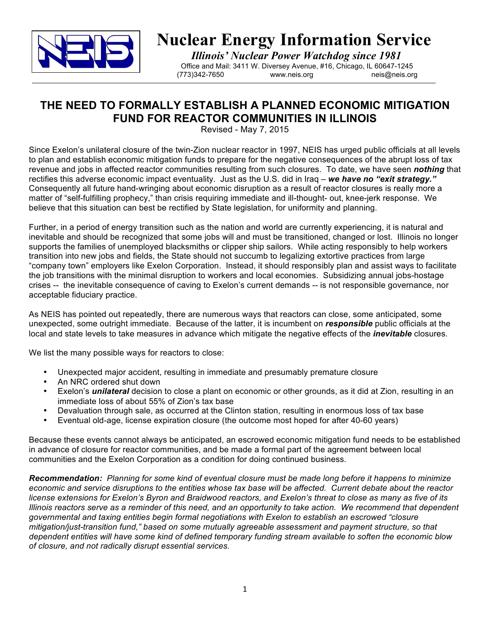

**Nuclear Energy Information Service**<br>*Illinois' Nuclear Power Watchdog since 1981*<br>
Office and Mail: 3411 W. Diversey Avenue, #16, Chicago, IL 60647-1245<br>
(773)342-7650<br>
www.neis.org<br>
neis@neis.org neis@neis.org

# **THE NEED TO FORMALLY ESTABLISH A PLANNED ECONOMIC MITIGATION FUND FOR REACTOR COMMUNITIES IN ILLINOIS**

Revised - May 7, 2015

Since Exelon's unilateral closure of the twin-Zion nuclear reactor in 1997, NEIS has urged public officials at all levels to plan and establish economic mitigation funds to prepare for the negative consequences of the abrupt loss of tax revenue and jobs in affected reactor communities resulting from such closures. To date, we have seen *nothing* that rectifies this adverse economic impact eventuality. Just as the U.S. did in Iraq – *we have no "exit strategy."* Consequently all future hand-wringing about economic disruption as a result of reactor closures is really more a matter of "self-fulfilling prophecy," than crisis requiring immediate and ill-thought- out, knee-jerk response. We believe that this situation can best be rectified by State legislation, for uniformity and planning.

Further, in a period of energy transition such as the nation and world are currently experiencing, it is natural and inevitable and should be recognized that some jobs will and must be transitioned, changed or lost. Illinois no longer supports the families of unemployed blacksmiths or clipper ship sailors. While acting responsibly to help workers transition into new jobs and fields, the State should not succumb to legalizing extortive practices from large "company town" employers like Exelon Corporation. Instead, it should responsibly plan and assist ways to facilitate the job transitions with the minimal disruption to workers and local economies. Subsidizing annual jobs-hostage crises -- the inevitable consequence of caving to Exelon's current demands -- is not responsible governance, nor acceptable fiduciary practice.

As NEIS has pointed out repeatedly, there are numerous ways that reactors can close, some anticipated, some unexpected, some outright immediate. Because of the latter, it is incumbent on *responsible* public officials at the local and state levels to take measures in advance which mitigate the negative effects of the *inevitable* closures.

We list the many possible ways for reactors to close:

- Unexpected major accident, resulting in immediate and presumably premature closure
- An NRC ordered shut down
- Exelon's *unilateral* decision to close a plant on economic or other grounds, as it did at Zion, resulting in an immediate loss of about 55% of Zion's tax base
- Devaluation through sale, as occurred at the Clinton station, resulting in enormous loss of tax base
- Eventual old-age, license expiration closure (the outcome most hoped for after 40-60 years)

Because these events cannot always be anticipated, an escrowed economic mitigation fund needs to be established in advance of closure for reactor communities, and be made a formal part of the agreement between local communities and the Exelon Corporation as a condition for doing continued business.

*Recommendation: Planning for some kind of eventual closure must be made long before it happens to minimize economic and service disruptions to the entities whose tax base will be affected. Current debate about the reactor license extensions for Exelon's Byron and Braidwood reactors, and Exelon's threat to close as many as five of its Illinois reactors serve as a reminder of this need, and an opportunity to take action. We recommend that dependent governmental and taxing entities begin formal negotiations with Exelon to establish an escrowed "closure mitigation/just-transition fund," based on some mutually agreeable assessment and payment structure, so that dependent entities will have some kind of defined temporary funding stream available to soften the economic blow of closure, and not radically disrupt essential services.*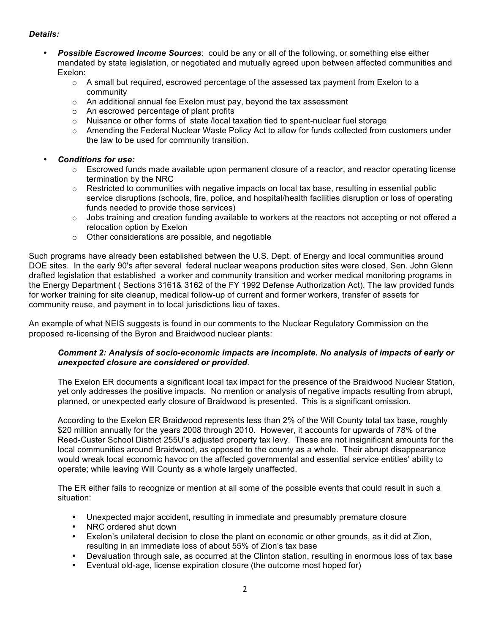# *Details:*

- **Possible Escrowed Income Sources:** could be any or all of the following, or something else either mandated by state legislation, or negotiated and mutually agreed upon between affected communities and Exelon:
	- $\circ$  A small but required, escrowed percentage of the assessed tax payment from Exelon to a community
	- o An additional annual fee Exelon must pay, beyond the tax assessment
	- o An escrowed percentage of plant profits
	- $\circ$  Nuisance or other forms of state /local taxation tied to spent-nuclear fuel storage
	- $\circ$  Amending the Federal Nuclear Waste Policy Act to allow for funds collected from customers under the law to be used for community transition.
- *Conditions for use:*
	- $\circ$  Escrowed funds made available upon permanent closure of a reactor, and reactor operating license termination by the NRC
	- $\circ$  Restricted to communities with negative impacts on local tax base, resulting in essential public service disruptions (schools, fire, police, and hospital/health facilities disruption or loss of operating funds needed to provide those services)
	- $\circ$  Jobs training and creation funding available to workers at the reactors not accepting or not offered a relocation option by Exelon
	- o Other considerations are possible, and negotiable

Such programs have already been established between the U.S. Dept. of Energy and local communities around DOE sites. In the early 90's after several federal nuclear weapons production sites were closed, Sen. John Glenn drafted legislation that established a worker and community transition and worker medical monitoring programs in the Energy Department ( Sections 3161& 3162 of the FY 1992 Defense Authorization Act). The law provided funds for worker training for site cleanup, medical follow-up of current and former workers, transfer of assets for community reuse, and payment in to local jurisdictions lieu of taxes.

An example of what NEIS suggests is found in our comments to the Nuclear Regulatory Commission on the proposed re-licensing of the Byron and Braidwood nuclear plants:

## *Comment 2: Analysis of socio-economic impacts are incomplete. No analysis of impacts of early or unexpected closure are considered or provided.*

The Exelon ER documents a significant local tax impact for the presence of the Braidwood Nuclear Station, yet only addresses the positive impacts. No mention or analysis of negative impacts resulting from abrupt, planned, or unexpected early closure of Braidwood is presented. This is a significant omission.

According to the Exelon ER Braidwood represents less than 2% of the Will County total tax base, roughly \$20 million annually for the years 2008 through 2010. However, it accounts for upwards of 78% of the Reed-Custer School District 255U's adjusted property tax levy. These are not insignificant amounts for the local communities around Braidwood, as opposed to the county as a whole. Their abrupt disappearance would wreak local economic havoc on the affected governmental and essential service entities' ability to operate; while leaving Will County as a whole largely unaffected.

The ER either fails to recognize or mention at all some of the possible events that could result in such a situation:

- Unexpected major accident, resulting in immediate and presumably premature closure
- NRC ordered shut down
- Exelon's unilateral decision to close the plant on economic or other grounds, as it did at Zion, resulting in an immediate loss of about 55% of Zion's tax base
- Devaluation through sale, as occurred at the Clinton station, resulting in enormous loss of tax base
- Eventual old-age, license expiration closure (the outcome most hoped for)